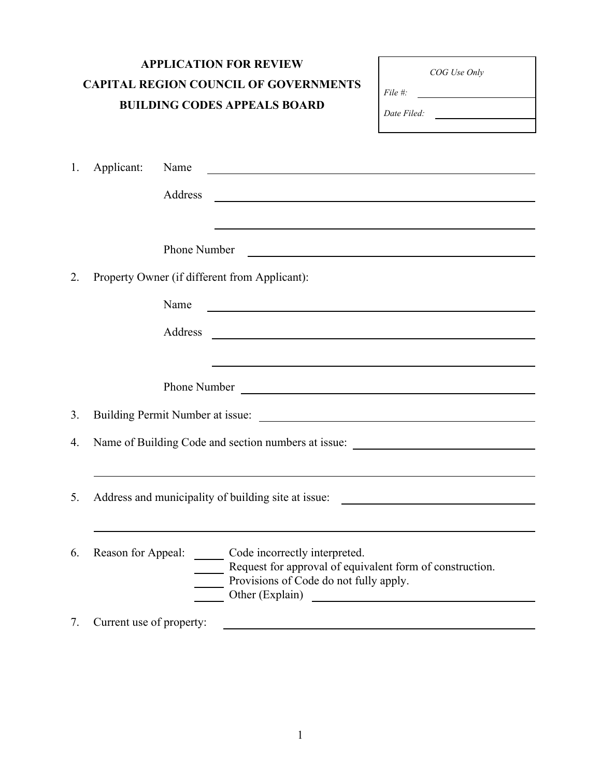| <b>APPLICATION FOR REVIEW</b><br><b>CAPITAL REGION COUNCIL OF GOVERNMENTS</b><br><b>BUILDING CODES APPEALS BOARD</b> |                                                                                                                                    |                 | COG Use Only<br>$File \#$ :<br>Date Filed: $\qquad \qquad \qquad$                                                                                                                                |                                                                                                                      |  |  |
|----------------------------------------------------------------------------------------------------------------------|------------------------------------------------------------------------------------------------------------------------------------|-----------------|--------------------------------------------------------------------------------------------------------------------------------------------------------------------------------------------------|----------------------------------------------------------------------------------------------------------------------|--|--|
| 1.                                                                                                                   | Applicant:                                                                                                                         | Name<br>Address | <u> 1989 - Johann Barn, fransk politik amerikansk politik (d. 1989)</u><br><u> 1989 - Johann Stoff, deutscher Stoff, der Stoff, der Stoff, der Stoff, der Stoff, der Stoff, der Stoff, der S</u> | <u> 1980 - Andrea Santa Andrea Santa Andrea Santa Andrea Santa Andrea Santa Andrea Santa Andrea Santa Andrea San</u> |  |  |
| 2.                                                                                                                   | <b>Phone Number</b><br><u> 1989 - Jan Sterlingen, skrivatsk politik (d. 1989)</u><br>Property Owner (if different from Applicant): |                 |                                                                                                                                                                                                  |                                                                                                                      |  |  |
|                                                                                                                      |                                                                                                                                    | Name<br>Address | <u> 1999 - Johann John Stein, markin f</u>                                                                                                                                                       |                                                                                                                      |  |  |
|                                                                                                                      |                                                                                                                                    |                 |                                                                                                                                                                                                  |                                                                                                                      |  |  |
| 3.                                                                                                                   |                                                                                                                                    |                 | Building Permit Number at issue:                                                                                                                                                                 |                                                                                                                      |  |  |
| 4.                                                                                                                   | Name of Building Code and section numbers at issue: _____________________________                                                  |                 |                                                                                                                                                                                                  |                                                                                                                      |  |  |
| $\mathcal{L}$ .                                                                                                      | Address and municipality of building site at issue:                                                                                |                 |                                                                                                                                                                                                  |                                                                                                                      |  |  |
| 6.                                                                                                                   | Reason for Appeal:                                                                                                                 |                 | Code incorrectly interpreted.<br>Request for approval of equivalent form of construction.<br>Provisions of Code do not fully apply.<br>Other (Explain)                                           |                                                                                                                      |  |  |
| 7.                                                                                                                   | Current use of property:                                                                                                           |                 |                                                                                                                                                                                                  |                                                                                                                      |  |  |